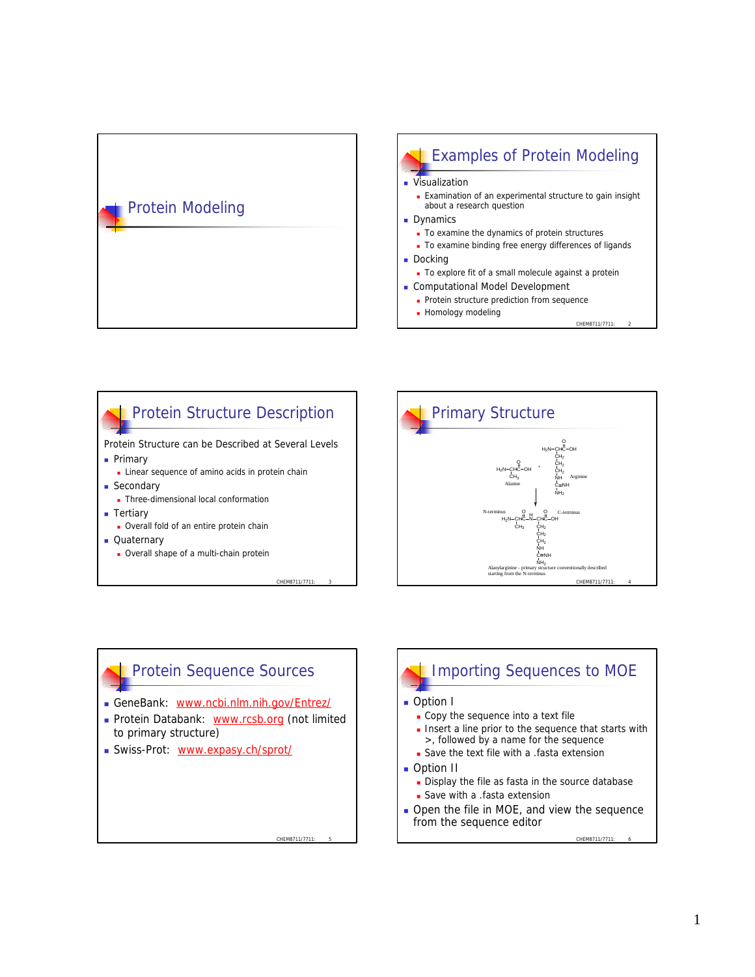

#### Examples of Protein Modeling Visualization **Examination of an experimental structure to gain insight** about a research question Dynamics To examine the dynamics of protein structures To examine binding free energy differences of ligands **Docking** To explore fit of a small molecule against a protein **Exercise Computational Model Development**

- Protein structure prediction from sequence
- **Homology modeling**
- CHEM8711/7711

### CHEM8711/7711: 3 Protein Structure Description Protein Structure can be Described at Several Levels **n** Primary **Exercise** Linear sequence of amino acids in protein chain **n** Secondary **n** Three-dimensional local conformation **n** Tertiary **.** Overall fold of an entire protein chain **n** Quaternary **.** Overall shape of a multi-chain protein



# CHEM8711/7711 Protein Sequence Sources <sup>n</sup> GeneBank: www.ncbi.nlm.nih.gov/Entrez/ Protein Databank: www.rcsb.org (not limited to primary structure) **No. 3** Swiss-Prot: www.expasy.ch/sprot/

# Importing Sequences to MOE

#### **n** Option I

- Copy the sequence into a text file
- **n** Insert a line prior to the sequence that starts with >, followed by a name for the sequence
- **Save the text file with a .fasta extension**
- **n** Option II
	- Display the file as fasta in the source database
	- **s** Save with a .fasta extension
- $\blacksquare$  Open the file in MOE, and view the sequence from the sequence editor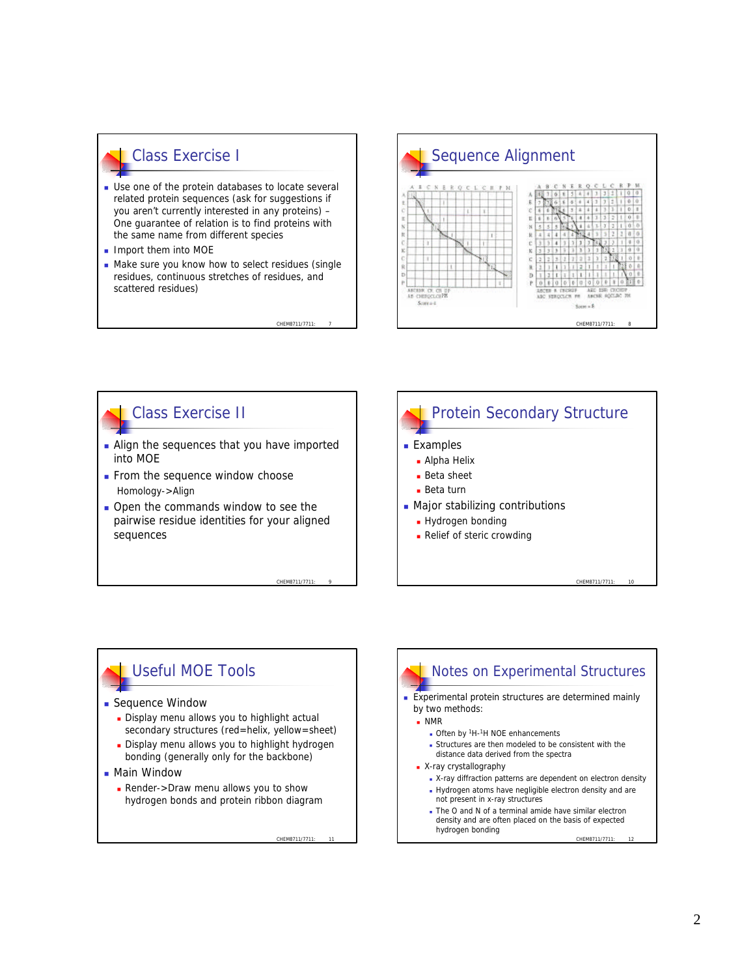### Class Exercise I

- **Dollary** Use one of the protein databases to locate several related protein sequences (ask for suggestions if you aren't currently interested in any proteins) – One guarantee of relation is to find proteins with the same name from different species
- $\blacksquare$  Import them into MOE
- $\blacksquare$  Make sure you know how to select residues (single residues, continuous stretches of residues, and scattered residues)





CHEM8711/7711: 9

CHEM8711/7711



### Useful MOE Tools

- **n** Sequence Window
	- Display menu allows you to highlight actual secondary structures (red=helix, yellow=sheet)
	- **Display menu allows you to highlight hydrogen** bonding (generally only for the backbone)
- **n** Main Window
	- **Render->Draw menu allows you to show** hydrogen bonds and protein ribbon diagram

CHEM8711/7711:

#### Notes on Experimental Structures **Experimental protein structures are determined mainly** by two methods:  $NMR$ Often by <sup>1</sup>H-<sup>1</sup>H NOE enhancements <sup>n</sup> Structures are then modeled to be consistent with the distance data derived from the spectra **N**-ray crystallography • X-ray diffraction patterns are dependent on electron density <sup>n</sup> Hydrogen atoms have negligible electron density and are not present in x-ray structures

The O and N of a terminal amide have similar electron density and are often placed on the basis of expected hydrogen bonding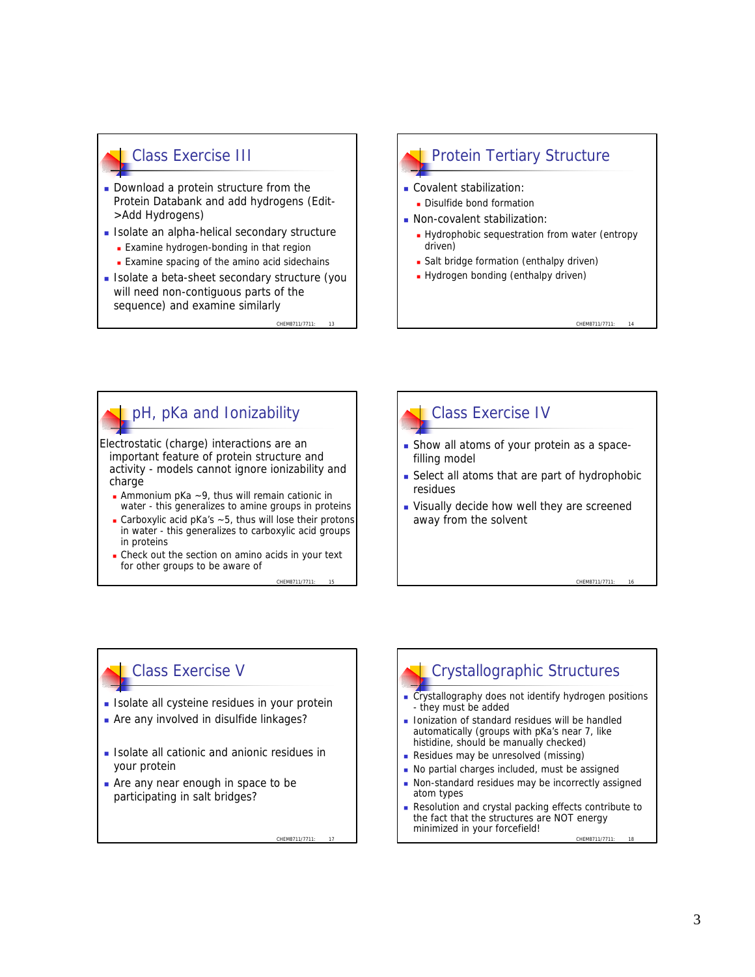### Class Exercise III

- **Download a protein structure from the** Protein Databank and add hydrogens (Edit- >Add Hydrogens)
- **Example 1** Isolate an alpha-helical secondary structure
	- **Examine hydrogen-bonding in that region**
	- **Examine spacing of the amino acid sidechains**
- Isolate a beta-sheet secondary structure (you will need non-contiguous parts of the sequence) and examine similarly

CHEM8711/7711

CHEM8711/7711

## Protein Tertiary Structure

- **Covalent stabilization:** 
	- Disulfide bond formation
- **Non-covalent stabilization:** 
	- **Hydrophobic sequestration from water (entropy** driven)

CHEM8711/7711

CHEM8711/7711

- **-** Salt bridge formation (enthalpy driven)
- Hydrogen bonding (enthalpy driven)

# pH, pKa and Ionizability

Electrostatic (charge) interactions are an important feature of protein structure and activity - models cannot ignore ionizability and charge

- **Ammonium pKa**  $\sim$ 9, thus will remain cationic in water - this generalizes to amine groups in proteins
- Carboxylic acid pKa's  $\sim$  5, thus will lose their protons in water - this generalizes to carboxylic acid groups in proteins
- Check out the section on amino acids in your text for other groups to be aware of



### Class Exercise IV

- **n** Show all atoms of your protein as a spacefilling model
- $\blacksquare$  Select all atoms that are part of hydrophobic residues
- **Nisually decide how well they are screened** away from the solvent

### Class Exercise V

- **Isolate all cysteine residues in your protein**
- n Are any involved in disulfide linkages?
- **Example 1** Isolate all cationic and anionic residues in your protein
- $\blacksquare$  Are any near enough in space to be participating in salt bridges?

CHEM8711/7711: 17

## Crystallographic Structures

- Crystallography does not identify hydrogen positions - they must be added
- **n** Ionization of standard residues will be handled automatically (groups with pKa's near 7, like histidine, should be manually checked)
- **Residues may be unresolved (missing)**
- No partial charges included, must be assigned
- **Non-standard residues may be incorrectly assigned** atom types
- Resolution and crystal packing effects contribute to the fact that the structures are NOT energy minimized in your forcefield!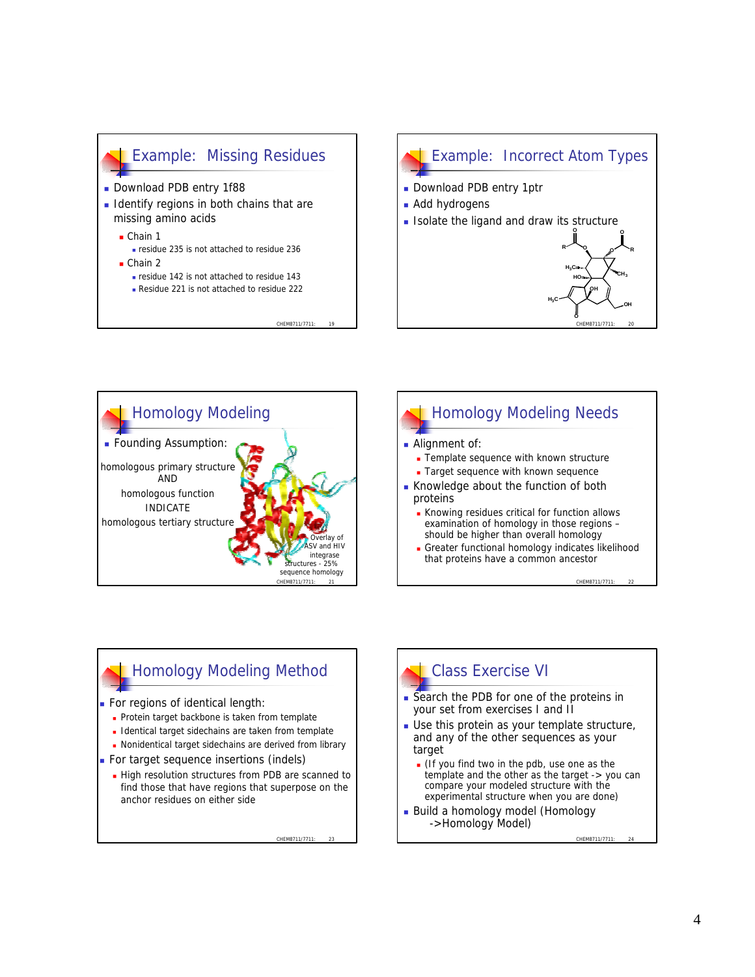

### Example: Incorrect Atom Types

CHEM8711/7711: 20

**<sup>O</sup> <sup>O</sup>**

**OH**

**OH**

**CH<sup>3</sup>**

**R O**

**O**

**HO**

 $H_3G$ 

**R O**

 $H_3$ **C** 

- Download PDB entry 1ptr
- **Add hydrogens**
- **Isolate the ligand and draw its structure**





**n** Greater functional homology indicates likelihood that proteins have a common ancestor

### Homology Modeling Method

- For regions of identical length:
	- Protein target backbone is taken from template
	- **n** Identical target sidechains are taken from template
	- **Nonidentical target sidechains are derived from library**
- **For target sequence insertions (indels)** 
	- High resolution structures from PDB are scanned to find those that have regions that superpose on the anchor residues on either side

CHEM8711/7711

### Class Exercise VI

- Search the PDB for one of the proteins in your set from exercises I and II
- $\blacksquare$  Use this protein as your template structure, and any of the other sequences as your target
	- $\blacksquare$  (If you find two in the pdb, use one as the template and the other as the target -> you can compare your modeled structure with the experimental structure when you are done)
- Build a homology model (Homology ->Homology Model)

CHEM8711/7711: 24